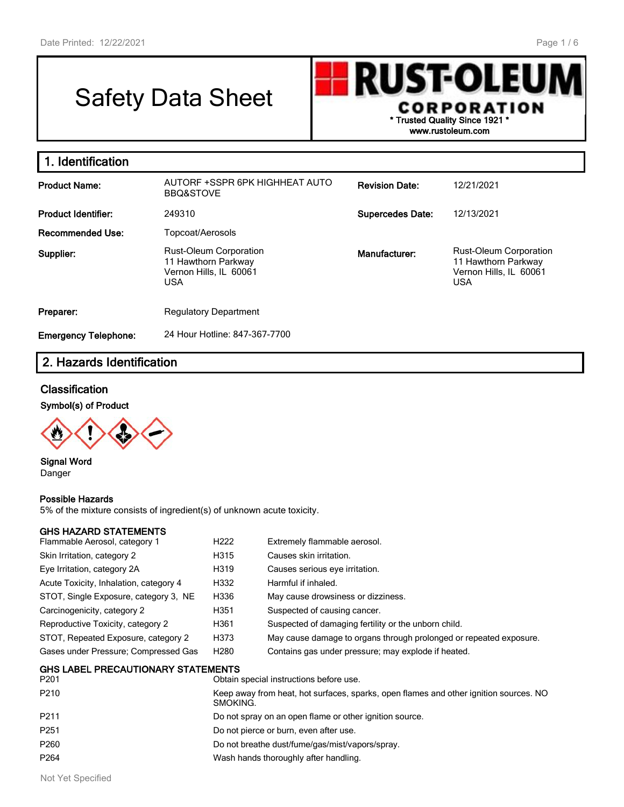# Safety Data Sheet



| 1. Identification           |                                                                                              |                         |                                                                                              |
|-----------------------------|----------------------------------------------------------------------------------------------|-------------------------|----------------------------------------------------------------------------------------------|
| <b>Product Name:</b>        | AUTORF +SSPR 6PK HIGHHEAT AUTO<br><b>BBQ&amp;STOVE</b>                                       | <b>Revision Date:</b>   | 12/21/2021                                                                                   |
| <b>Product Identifier:</b>  | 249310                                                                                       | <b>Supercedes Date:</b> | 12/13/2021                                                                                   |
| <b>Recommended Use:</b>     | Topcoat/Aerosols                                                                             |                         |                                                                                              |
| Supplier:                   | <b>Rust-Oleum Corporation</b><br>11 Hawthorn Parkway<br>Vernon Hills, IL 60061<br><b>USA</b> | Manufacturer:           | <b>Rust-Oleum Corporation</b><br>11 Hawthorn Parkway<br>Vernon Hills, IL 60061<br><b>USA</b> |
| Preparer:                   | <b>Regulatory Department</b>                                                                 |                         |                                                                                              |
| <b>Emergency Telephone:</b> | 24 Hour Hotline: 847-367-7700                                                                |                         |                                                                                              |

# **2. Hazards Identification**

#### **Classification**

**Symbol(s) of Product**



**Signal Word** Danger

#### **Possible Hazards**

5% of the mixture consists of ingredient(s) of unknown acute toxicity.

#### **GHS HAZARD STATEMENTS**

| Flammable Aerosol, category 1                     | H <sub>222</sub> | Extremely flammable aerosol.                                       |
|---------------------------------------------------|------------------|--------------------------------------------------------------------|
| Skin Irritation, category 2                       | H315             | Causes skin irritation.                                            |
| Eye Irritation, category 2A                       | H319             | Causes serious eye irritation.                                     |
| Acute Toxicity, Inhalation, category 4            | H332             | Harmful if inhaled.                                                |
| STOT, Single Exposure, category 3, NE             | H336             | May cause drowsiness or dizziness.                                 |
| Carcinogenicity, category 2                       | H351             | Suspected of causing cancer.                                       |
| Reproductive Toxicity, category 2                 | H361             | Suspected of damaging fertility or the unborn child.               |
| STOT, Repeated Exposure, category 2               | H373             | May cause damage to organs through prolonged or repeated exposure. |
| Gases under Pressure; Compressed Gas              | H <sub>280</sub> | Contains gas under pressure; may explode if heated.                |
| <b>GHS LABEL PRECAUTIONARY STATEMENTS</b><br>---- |                  |                                                                    |

| P <sub>201</sub> | Obtain special instructions before use.                                                           |
|------------------|---------------------------------------------------------------------------------------------------|
| P210             | Keep away from heat, hot surfaces, sparks, open flames and other ignition sources. NO<br>SMOKING. |
| P211             | Do not spray on an open flame or other ignition source.                                           |
| P251             | Do not pierce or burn, even after use.                                                            |
| P <sub>260</sub> | Do not breathe dust/fume/gas/mist/vapors/spray.                                                   |
| P <sub>264</sub> | Wash hands thoroughly after handling.                                                             |
|                  |                                                                                                   |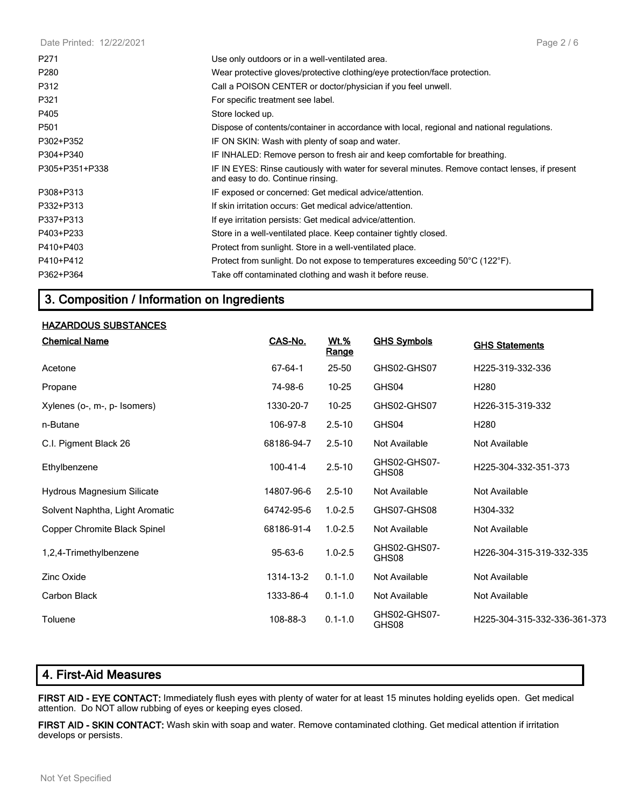| Date Printed: 12/22/2021 | Page 2/6                                                                                                                            |
|--------------------------|-------------------------------------------------------------------------------------------------------------------------------------|
| P271                     | Use only outdoors or in a well-ventilated area.                                                                                     |
| P <sub>280</sub>         | Wear protective gloves/protective clothing/eye protection/face protection.                                                          |
| P312                     | Call a POISON CENTER or doctor/physician if you feel unwell.                                                                        |
| P321                     | For specific treatment see label.                                                                                                   |
| P405                     | Store locked up.                                                                                                                    |
| P501                     | Dispose of contents/container in accordance with local, regional and national regulations.                                          |
| P302+P352                | IF ON SKIN: Wash with plenty of soap and water.                                                                                     |
| P304+P340                | IF INHALED: Remove person to fresh air and keep comfortable for breathing.                                                          |
| P305+P351+P338           | IF IN EYES: Rinse cautiously with water for several minutes. Remove contact lenses, if present<br>and easy to do. Continue rinsing. |
| P308+P313                | IF exposed or concerned: Get medical advice/attention.                                                                              |
| P332+P313                | If skin irritation occurs: Get medical advice/attention.                                                                            |
| P337+P313                | If eye irritation persists: Get medical advice/attention.                                                                           |
| P403+P233                | Store in a well-ventilated place. Keep container tightly closed.                                                                    |
| P410+P403                | Protect from sunlight. Store in a well-ventilated place.                                                                            |
| P410+P412                | Protect from sunlight. Do not expose to temperatures exceeding $50^{\circ}$ C (122 $^{\circ}$ F).                                   |
| P362+P364                | Take off contaminated clothing and wash it before reuse.                                                                            |

# **3. Composition / Information on Ingredients**

#### **HAZARDOUS SUBSTANCES**

| <b>Chemical Name</b>            | CAS-No.        | Wt.%<br><u>Range</u> | <b>GHS Symbols</b>    | <b>GHS Statements</b>        |
|---------------------------------|----------------|----------------------|-----------------------|------------------------------|
| Acetone                         | 67-64-1        | $25 - 50$            | GHS02-GHS07           | H225-319-332-336             |
| Propane                         | 74-98-6        | $10 - 25$            | GHS04                 | H <sub>280</sub>             |
| Xylenes (o-, m-, p- Isomers)    | 1330-20-7      | $10 - 25$            | GHS02-GHS07           | H226-315-319-332             |
| n-Butane                        | 106-97-8       | $2.5 - 10$           | GHS04                 | H <sub>280</sub>             |
| C.I. Pigment Black 26           | 68186-94-7     | $2.5 - 10$           | Not Available         | Not Available                |
| Ethylbenzene                    | $100 - 41 - 4$ | $2.5 - 10$           | GHS02-GHS07-<br>GHS08 | H225-304-332-351-373         |
| Hydrous Magnesium Silicate      | 14807-96-6     | $2.5 - 10$           | Not Available         | Not Available                |
| Solvent Naphtha, Light Aromatic | 64742-95-6     | $1.0 - 2.5$          | GHS07-GHS08           | H304-332                     |
| Copper Chromite Black Spinel    | 68186-91-4     | $1.0 - 2.5$          | Not Available         | Not Available                |
| 1,2,4-Trimethylbenzene          | 95-63-6        | $1.0 - 2.5$          | GHS02-GHS07-<br>GHS08 | H226-304-315-319-332-335     |
| <b>Zinc Oxide</b>               | 1314-13-2      | $0.1 - 1.0$          | Not Available         | Not Available                |
| Carbon Black                    | 1333-86-4      | $0.1 - 1.0$          | Not Available         | Not Available                |
| Toluene                         | 108-88-3       | $0.1 - 1.0$          | GHS02-GHS07-<br>GHS08 | H225-304-315-332-336-361-373 |

# **4. First-Aid Measures**

**FIRST AID - EYE CONTACT:** Immediately flush eyes with plenty of water for at least 15 minutes holding eyelids open. Get medical attention. Do NOT allow rubbing of eyes or keeping eyes closed.

**FIRST AID - SKIN CONTACT:** Wash skin with soap and water. Remove contaminated clothing. Get medical attention if irritation develops or persists.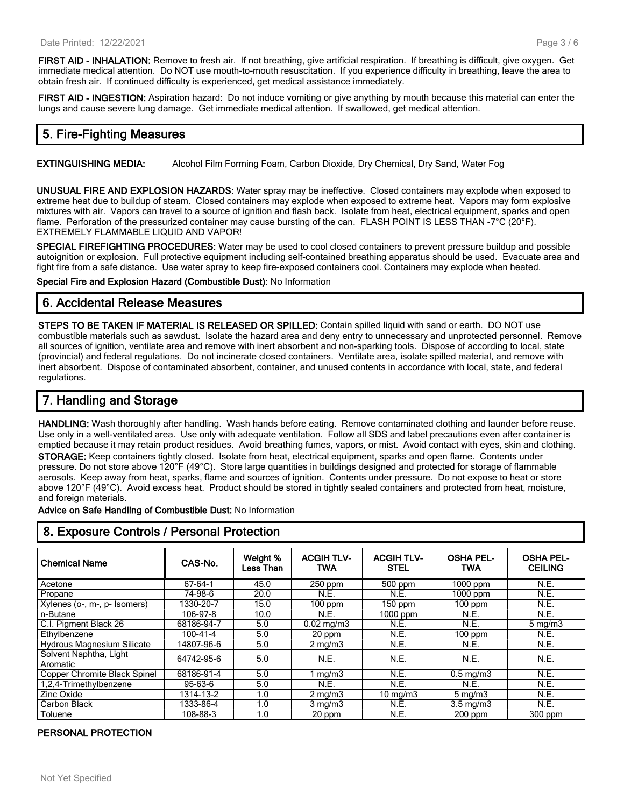**FIRST AID - INHALATION:** Remove to fresh air. If not breathing, give artificial respiration. If breathing is difficult, give oxygen. Get immediate medical attention. Do NOT use mouth-to-mouth resuscitation. If you experience difficulty in breathing, leave the area to obtain fresh air. If continued difficulty is experienced, get medical assistance immediately.

**FIRST AID - INGESTION:** Aspiration hazard: Do not induce vomiting or give anything by mouth because this material can enter the lungs and cause severe lung damage. Get immediate medical attention. If swallowed, get medical attention.

## **5. Fire-Fighting Measures**

**EXTINGUISHING MEDIA:** Alcohol Film Forming Foam, Carbon Dioxide, Dry Chemical, Dry Sand, Water Fog

**UNUSUAL FIRE AND EXPLOSION HAZARDS:** Water spray may be ineffective. Closed containers may explode when exposed to extreme heat due to buildup of steam. Closed containers may explode when exposed to extreme heat. Vapors may form explosive mixtures with air. Vapors can travel to a source of ignition and flash back. Isolate from heat, electrical equipment, sparks and open flame. Perforation of the pressurized container may cause bursting of the can. FLASH POINT IS LESS THAN -7°C (20°F). EXTREMELY FLAMMABLE LIQUID AND VAPOR!

**SPECIAL FIREFIGHTING PROCEDURES:** Water may be used to cool closed containers to prevent pressure buildup and possible autoignition or explosion. Full protective equipment including self-contained breathing apparatus should be used. Evacuate area and fight fire from a safe distance. Use water spray to keep fire-exposed containers cool. Containers may explode when heated.

**Special Fire and Explosion Hazard (Combustible Dust):** No Information

## **6. Accidental Release Measures**

**STEPS TO BE TAKEN IF MATERIAL IS RELEASED OR SPILLED:** Contain spilled liquid with sand or earth. DO NOT use combustible materials such as sawdust. Isolate the hazard area and deny entry to unnecessary and unprotected personnel. Remove all sources of ignition, ventilate area and remove with inert absorbent and non-sparking tools. Dispose of according to local, state (provincial) and federal regulations. Do not incinerate closed containers. Ventilate area, isolate spilled material, and remove with inert absorbent. Dispose of contaminated absorbent, container, and unused contents in accordance with local, state, and federal regulations.

## **7. Handling and Storage**

**HANDLING:** Wash thoroughly after handling. Wash hands before eating. Remove contaminated clothing and launder before reuse. Use only in a well-ventilated area. Use only with adequate ventilation. Follow all SDS and label precautions even after container is emptied because it may retain product residues. Avoid breathing fumes, vapors, or mist. Avoid contact with eyes, skin and clothing. **STORAGE:** Keep containers tightly closed. Isolate from heat, electrical equipment, sparks and open flame. Contents under pressure. Do not store above 120°F (49°C). Store large quantities in buildings designed and protected for storage of flammable aerosols. Keep away from heat, sparks, flame and sources of ignition. Contents under pressure. Do not expose to heat or store above 120°F (49°C). Avoid excess heat. Product should be stored in tightly sealed containers and protected from heat, moisture, and foreign materials.

**Advice on Safe Handling of Combustible Dust:** No Information

| <b>Chemical Name</b>               | CAS-No.        | Weight %<br>Less Than | <b>ACGIH TLV-</b><br><b>TWA</b> | <b>ACGIH TLV-</b><br><b>STEL</b> | <b>OSHA PEL-</b><br><b>TWA</b> | <b>OSHA PEL-</b><br><b>CEILING</b> |
|------------------------------------|----------------|-----------------------|---------------------------------|----------------------------------|--------------------------------|------------------------------------|
| Acetone                            | 67-64-1        | 45.0                  | 250 ppm                         | 500 ppm                          | $1000$ ppm                     | <b>N.E.</b>                        |
| Propane                            | 74-98-6        | 20.0                  | N.E.                            | N.E.                             | 1000 ppm                       | N.E.                               |
| Xylenes (o-, m-, p- Isomers)       | 1330-20-7      | 15.0                  | $100$ ppm                       | $150$ ppm                        | $100$ ppm                      | N.E.                               |
| n-Butane                           | 106-97-8       | 10.0                  | N.E.                            | $1000$ ppm                       | N.E.                           | N.E.                               |
| C.I. Pigment Black 26              | 68186-94-7     | 5.0                   | $0.02 \text{ mg/m}$ 3           | N.E.                             | N.E.                           | $5 \text{ mg/m}$                   |
| Ethylbenzene                       | $100 - 41 - 4$ | 5.0                   | 20 ppm                          | N.E.                             | $100$ ppm                      | N.E.                               |
| <b>Hydrous Magnesium Silicate</b>  | 14807-96-6     | 5.0                   | $2 \text{ mg/m}$                | N.E.                             | N.E.                           | N.E.                               |
| Solvent Naphtha, Light<br>Aromatic | 64742-95-6     | 5.0                   | N.E.                            | N.E.                             | N.E.                           | N.E.                               |
| Copper Chromite Black Spinel       | 68186-91-4     | 5.0                   | mg/m3                           | N.E.                             | $0.5 \text{ mg/m}$ 3           | N.E.                               |
| 1.2.4-Trimethylbenzene             | 95-63-6        | 5.0                   | <b>N.E.</b>                     | N.E.                             | N.E.                           | N.E.                               |
| Zinc Oxide                         | 1314-13-2      | 1.0                   | $2 \text{ mg/m}$                | $10 \text{ mg/m}$                | $5 \,\mathrm{mq/m}$            | N.E.                               |
| Carbon Black                       | 1333-86-4      | 1.0                   | $3$ mg/m $3$                    | N.E.                             | $3.5 \text{ mg/m}$             | N.E.                               |
| Toluene                            | 108-88-3       | 1.0                   | 20 ppm                          | N.E.                             | $200$ ppm                      | $300$ ppm                          |

## **8. Exposure Controls / Personal Protection**

#### **PERSONAL PROTECTION**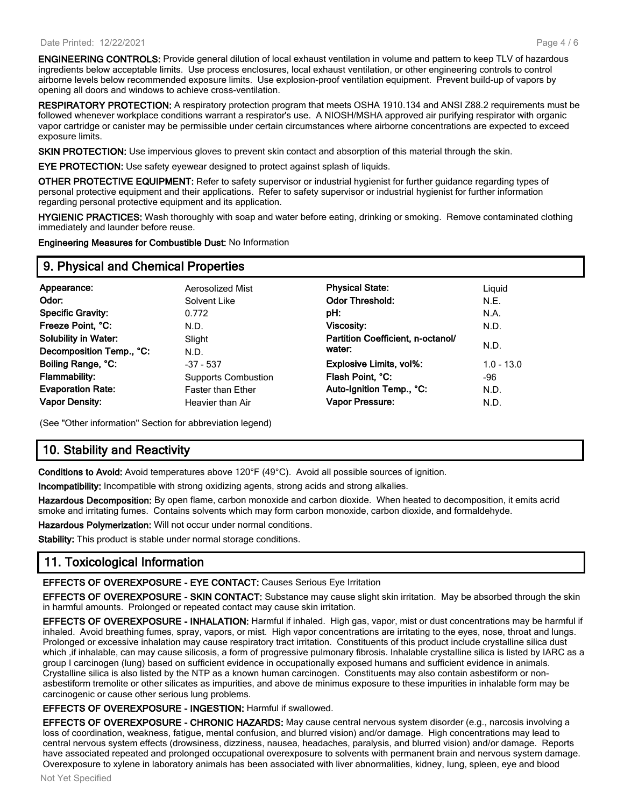**ENGINEERING CONTROLS:** Provide general dilution of local exhaust ventilation in volume and pattern to keep TLV of hazardous ingredients below acceptable limits. Use process enclosures, local exhaust ventilation, or other engineering controls to control airborne levels below recommended exposure limits. Use explosion-proof ventilation equipment. Prevent build-up of vapors by opening all doors and windows to achieve cross-ventilation.

**RESPIRATORY PROTECTION:** A respiratory protection program that meets OSHA 1910.134 and ANSI Z88.2 requirements must be followed whenever workplace conditions warrant a respirator's use. A NIOSH/MSHA approved air purifying respirator with organic vapor cartridge or canister may be permissible under certain circumstances where airborne concentrations are expected to exceed exposure limits.

**SKIN PROTECTION:** Use impervious gloves to prevent skin contact and absorption of this material through the skin.

**EYE PROTECTION:** Use safety eyewear designed to protect against splash of liquids.

**OTHER PROTECTIVE EQUIPMENT:** Refer to safety supervisor or industrial hygienist for further guidance regarding types of personal protective equipment and their applications. Refer to safety supervisor or industrial hygienist for further information regarding personal protective equipment and its application.

**HYGIENIC PRACTICES:** Wash thoroughly with soap and water before eating, drinking or smoking. Remove contaminated clothing immediately and launder before reuse.

**Engineering Measures for Combustible Dust:** No Information

## **9. Physical and Chemical Properties**

| Appearance:                 | Aerosolized Mist           | <b>Physical State:</b>            | Liguid       |
|-----------------------------|----------------------------|-----------------------------------|--------------|
| Odor:                       | Solvent Like               | <b>Odor Threshold:</b>            | N.E.         |
| <b>Specific Gravity:</b>    | 0.772                      | pH:                               | N.A.         |
| Freeze Point, °C:           | N.D.                       | <b>Viscosity:</b>                 | N.D.         |
| <b>Solubility in Water:</b> | Slight                     | Partition Coefficient, n-octanol/ |              |
| Decomposition Temp., °C:    | N.D.                       | water:                            | N.D.         |
| Boiling Range, °C:          | $-37 - 537$                | <b>Explosive Limits, vol%:</b>    | $1.0 - 13.0$ |
| Flammability:               | <b>Supports Combustion</b> | Flash Point, °C:                  | -96          |
| <b>Evaporation Rate:</b>    | <b>Faster than Ether</b>   | Auto-Ignition Temp., °C:          | N.D.         |
| <b>Vapor Density:</b>       | Heavier than Air           | Vapor Pressure:                   | N.D.         |
|                             |                            |                                   |              |

(See "Other information" Section for abbreviation legend)

# **10. Stability and Reactivity**

**Conditions to Avoid:** Avoid temperatures above 120°F (49°C). Avoid all possible sources of ignition.

**Incompatibility:** Incompatible with strong oxidizing agents, strong acids and strong alkalies.

**Hazardous Decomposition:** By open flame, carbon monoxide and carbon dioxide. When heated to decomposition, it emits acrid smoke and irritating fumes. Contains solvents which may form carbon monoxide, carbon dioxide, and formaldehyde.

**Hazardous Polymerization:** Will not occur under normal conditions.

**Stability:** This product is stable under normal storage conditions.

# **11. Toxicological Information**

**EFFECTS OF OVEREXPOSURE - EYE CONTACT:** Causes Serious Eye Irritation

**EFFECTS OF OVEREXPOSURE - SKIN CONTACT:** Substance may cause slight skin irritation. May be absorbed through the skin in harmful amounts. Prolonged or repeated contact may cause skin irritation.

**EFFECTS OF OVEREXPOSURE - INHALATION:** Harmful if inhaled. High gas, vapor, mist or dust concentrations may be harmful if inhaled. Avoid breathing fumes, spray, vapors, or mist. High vapor concentrations are irritating to the eyes, nose, throat and lungs. Prolonged or excessive inhalation may cause respiratory tract irritation. Constituents of this product include crystalline silica dust which ,if inhalable, can may cause silicosis, a form of progressive pulmonary fibrosis. Inhalable crystalline silica is listed by IARC as a group I carcinogen (lung) based on sufficient evidence in occupationally exposed humans and sufficient evidence in animals. Crystalline silica is also listed by the NTP as a known human carcinogen. Constituents may also contain asbestiform or nonasbestiform tremolite or other silicates as impurities, and above de minimus exposure to these impurities in inhalable form may be carcinogenic or cause other serious lung problems.

#### **EFFECTS OF OVEREXPOSURE - INGESTION:** Harmful if swallowed.

**EFFECTS OF OVEREXPOSURE - CHRONIC HAZARDS:** May cause central nervous system disorder (e.g., narcosis involving a loss of coordination, weakness, fatigue, mental confusion, and blurred vision) and/or damage. High concentrations may lead to central nervous system effects (drowsiness, dizziness, nausea, headaches, paralysis, and blurred vision) and/or damage. Reports have associated repeated and prolonged occupational overexposure to solvents with permanent brain and nervous system damage. Overexposure to xylene in laboratory animals has been associated with liver abnormalities, kidney, lung, spleen, eye and blood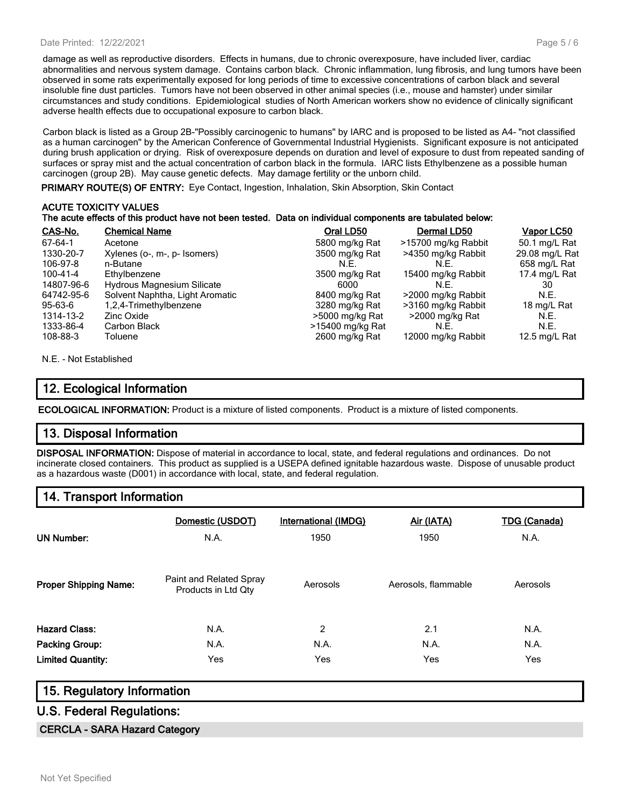#### Date Printed: 12/22/2021

damage as well as reproductive disorders. Effects in humans, due to chronic overexposure, have included liver, cardiac abnormalities and nervous system damage. Contains carbon black. Chronic inflammation, lung fibrosis, and lung tumors have been observed in some rats experimentally exposed for long periods of time to excessive concentrations of carbon black and several insoluble fine dust particles. Tumors have not been observed in other animal species (i.e., mouse and hamster) under similar circumstances and study conditions. Epidemiological studies of North American workers show no evidence of clinically significant adverse health effects due to occupational exposure to carbon black.

Carbon black is listed as a Group 2B-"Possibly carcinogenic to humans" by IARC and is proposed to be listed as A4- "not classified as a human carcinogen" by the American Conference of Governmental Industrial Hygienists. Significant exposure is not anticipated during brush application or drying. Risk of overexposure depends on duration and level of exposure to dust from repeated sanding of surfaces or spray mist and the actual concentration of carbon black in the formula. IARC lists Ethylbenzene as a possible human carcinogen (group 2B). May cause genetic defects. May damage fertility or the unborn child.

**PRIMARY ROUTE(S) OF ENTRY:** Eye Contact, Ingestion, Inhalation, Skin Absorption, Skin Contact

# **ACUTE TOXICITY VALUES**

#### **The acute effects of this product have not been tested. Data on individual components are tabulated below:**

| CAS-No.    | <b>Chemical Name</b>              | Oral LD50        | Dermal LD50         | Vapor LC50     |
|------------|-----------------------------------|------------------|---------------------|----------------|
| 67-64-1    | Acetone                           | 5800 mg/kg Rat   | >15700 mg/kg Rabbit | 50.1 mg/L Rat  |
| 1330-20-7  | Xylenes (o-, m-, p- Isomers)      | 3500 mg/kg Rat   | >4350 mg/kg Rabbit  | 29.08 mg/L Rat |
| 106-97-8   | n-Butane                          | N.E.             | N.E.                | 658 mg/L Rat   |
| 100-41-4   | Ethylbenzene                      | 3500 mg/kg Rat   | 15400 mg/kg Rabbit  | 17.4 mg/L Rat  |
| 14807-96-6 | <b>Hydrous Magnesium Silicate</b> | 6000             | N.E.                | 30             |
| 64742-95-6 | Solvent Naphtha, Light Aromatic   | 8400 mg/kg Rat   | >2000 mg/kg Rabbit  | N.E.           |
| 95-63-6    | 1,2,4-Trimethylbenzene            | 3280 mg/kg Rat   | >3160 mg/kg Rabbit  | 18 mg/L Rat    |
| 1314-13-2  | Zinc Oxide                        | >5000 mg/kg Rat  | >2000 mg/kg Rat     | N.E.           |
| 1333-86-4  | Carbon Black                      | >15400 mg/kg Rat | N.E.                | N.E.           |
| 108-88-3   | Toluene                           | 2600 mg/kg Rat   | 12000 mg/kg Rabbit  | 12.5 mg/L Rat  |

N.E. - Not Established

## **12. Ecological Information**

**ECOLOGICAL INFORMATION:** Product is a mixture of listed components. Product is a mixture of listed components.

## **13. Disposal Information**

**DISPOSAL INFORMATION:** Dispose of material in accordance to local, state, and federal regulations and ordinances. Do not incinerate closed containers. This product as supplied is a USEPA defined ignitable hazardous waste. Dispose of unusable product as a hazardous waste (D001) in accordance with local, state, and federal regulation.

## **14. Transport Information**

| <b>UN Number:</b>            | Domestic (USDOT)<br>N.A.                       | International (IMDG)<br>1950 | Air (IATA)<br>1950  | <b>TDG (Canada)</b><br>N.A. |
|------------------------------|------------------------------------------------|------------------------------|---------------------|-----------------------------|
| <b>Proper Shipping Name:</b> | Paint and Related Spray<br>Products in Ltd Qty | Aerosols                     | Aerosols, flammable | Aerosols                    |
| <b>Hazard Class:</b>         | N.A.                                           | $\overline{2}$               | 2.1                 | N.A.                        |
| <b>Packing Group:</b>        | N.A.                                           | N.A.                         | N.A.                | N.A.                        |
| <b>Limited Quantity:</b>     | Yes                                            | Yes                          | Yes                 | Yes                         |

## **15. Regulatory Information**

## **U.S. Federal Regulations:**

#### **CERCLA - SARA Hazard Category**